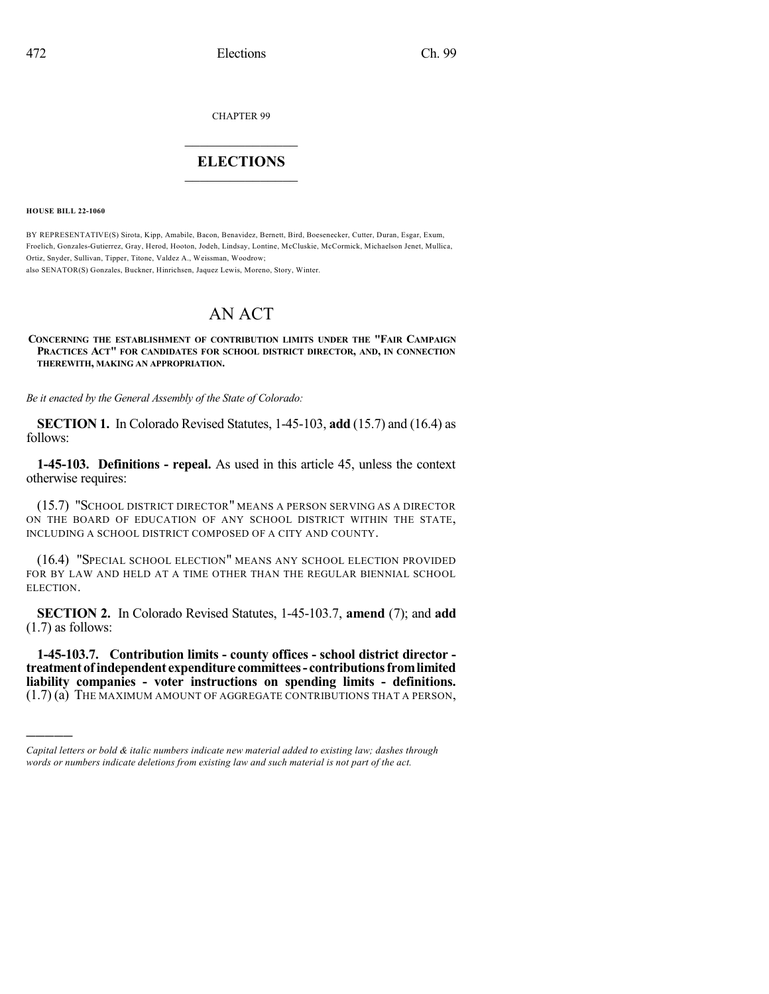CHAPTER 99

## $\mathcal{L}_\text{max}$  . The set of the set of the set of the set of the set of the set of the set of the set of the set of the set of the set of the set of the set of the set of the set of the set of the set of the set of the set **ELECTIONS**  $\_$

**HOUSE BILL 22-1060**

)))))

BY REPRESENTATIVE(S) Sirota, Kipp, Amabile, Bacon, Benavidez, Bernett, Bird, Boesenecker, Cutter, Duran, Esgar, Exum, Froelich, Gonzales-Gutierrez, Gray, Herod, Hooton, Jodeh, Lindsay, Lontine, McCluskie, McCormick, Michaelson Jenet, Mullica, Ortiz, Snyder, Sullivan, Tipper, Titone, Valdez A., Weissman, Woodrow; also SENATOR(S) Gonzales, Buckner, Hinrichsen, Jaquez Lewis, Moreno, Story, Winter.

## AN ACT

## **CONCERNING THE ESTABLISHMENT OF CONTRIBUTION LIMITS UNDER THE "FAIR CAMPAIGN PRACTICES ACT" FOR CANDIDATES FOR SCHOOL DISTRICT DIRECTOR, AND, IN CONNECTION THEREWITH, MAKING AN APPROPRIATION.**

*Be it enacted by the General Assembly of the State of Colorado:*

**SECTION 1.** In Colorado Revised Statutes, 1-45-103, **add** (15.7) and (16.4) as follows:

**1-45-103. Definitions - repeal.** As used in this article 45, unless the context otherwise requires:

(15.7) "SCHOOL DISTRICT DIRECTOR" MEANS A PERSON SERVING AS A DIRECTOR ON THE BOARD OF EDUCATION OF ANY SCHOOL DISTRICT WITHIN THE STATE, INCLUDING A SCHOOL DISTRICT COMPOSED OF A CITY AND COUNTY.

(16.4) "SPECIAL SCHOOL ELECTION" MEANS ANY SCHOOL ELECTION PROVIDED FOR BY LAW AND HELD AT A TIME OTHER THAN THE REGULAR BIENNIAL SCHOOL ELECTION.

**SECTION 2.** In Colorado Revised Statutes, 1-45-103.7, **amend** (7); and **add** (1.7) as follows:

**1-45-103.7. Contribution limits - county offices - school district director treatment ofindependent expenditure committees- contributionsfromlimited liability companies - voter instructions on spending limits - definitions.** (1.7) (a) THE MAXIMUM AMOUNT OF AGGREGATE CONTRIBUTIONS THAT A PERSON,

*Capital letters or bold & italic numbers indicate new material added to existing law; dashes through words or numbers indicate deletions from existing law and such material is not part of the act.*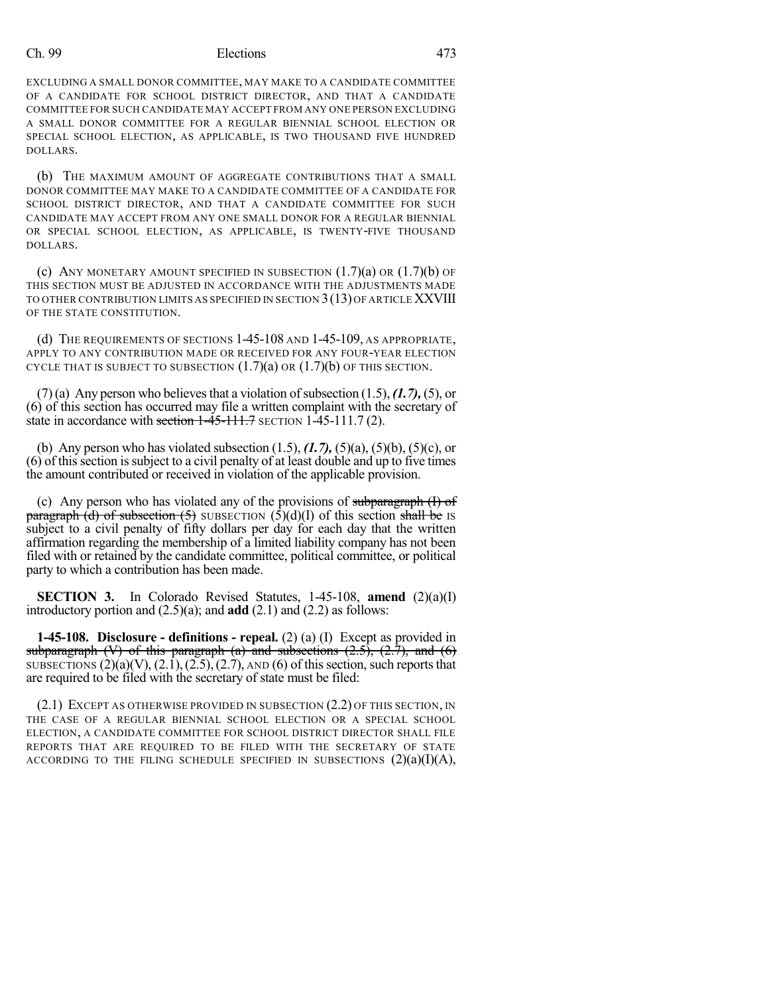## Ch. 99 Elections 473

EXCLUDING A SMALL DONOR COMMITTEE, MAY MAKE TO A CANDIDATE COMMITTEE OF A CANDIDATE FOR SCHOOL DISTRICT DIRECTOR, AND THAT A CANDIDATE COMMITTEE FOR SUCH CANDIDATE MAY ACCEPT FROM ANY ONE PERSON EXCLUDING A SMALL DONOR COMMITTEE FOR A REGULAR BIENNIAL SCHOOL ELECTION OR SPECIAL SCHOOL ELECTION, AS APPLICABLE, IS TWO THOUSAND FIVE HUNDRED DOLLARS.

(b) THE MAXIMUM AMOUNT OF AGGREGATE CONTRIBUTIONS THAT A SMALL DONOR COMMITTEE MAY MAKE TO A CANDIDATE COMMITTEE OF A CANDIDATE FOR SCHOOL DISTRICT DIRECTOR, AND THAT A CANDIDATE COMMITTEE FOR SUCH CANDIDATE MAY ACCEPT FROM ANY ONE SMALL DONOR FOR A REGULAR BIENNIAL OR SPECIAL SCHOOL ELECTION, AS APPLICABLE, IS TWENTY-FIVE THOUSAND DOLLARS.

(c) ANY MONETARY AMOUNT SPECIFIED IN SUBSECTION  $(1.7)(a)$  OR  $(1.7)(b)$  OF THIS SECTION MUST BE ADJUSTED IN ACCORDANCE WITH THE ADJUSTMENTS MADE TO OTHER CONTRIBUTION LIMITS AS SPECIFIED IN SECTION 3(13) OF ARTICLE XXVIII OF THE STATE CONSTITUTION.

(d) THE REQUIREMENTS OF SECTIONS 1-45-108 AND 1-45-109, AS APPROPRIATE, APPLY TO ANY CONTRIBUTION MADE OR RECEIVED FOR ANY FOUR-YEAR ELECTION CYCLE THAT IS SUBJECT TO SUBSECTION  $(1.7)(a)$  OR  $(1.7)(b)$  OF THIS SECTION.

 $(7)$ (a) Any person who believes that a violation of subsection  $(1.5)$ ,  $(1.7)$ ,  $(5)$ , or (6) of this section has occurred may file a written complaint with the secretary of state in accordance with section  $1-45-111.7$  SECTION  $1-45-111.7$  (2).

(b) Any person who has violated subsection (1.5), *(1.7),* (5)(a), (5)(b), (5)(c), or (6) of thissection issubject to a civil penalty of at least double and up to five times the amount contributed or received in violation of the applicable provision.

(c) Any person who has violated any of the provisions of subparagraph  $(I)$  of paragraph (d) of subsection (5) SUBSECTION  $(\hat{5})(d)(I)$  of this section shall be IS subject to a civil penalty of fifty dollars per day for each day that the written affirmation regarding the membership of a limited liability company has not been filed with or retained by the candidate committee, political committee, or political party to which a contribution has been made.

**SECTION 3.** In Colorado Revised Statutes, 1-45-108, **amend** (2)(a)(I) introductory portion and (2.5)(a); and **add** (2.1) and (2.2) as follows:

**1-45-108. Disclosure - definitions - repeal.** (2) (a) (I) Except as provided in subparagraph  $(V)$  of this paragraph (a) and subsections  $(2.5)$ ,  $(2.7)$ , and  $(6)$ SUBSECTIONS  $(2)(a)(V)$ ,  $(2.1)$ ,  $(2.5)$ ,  $(2.7)$ , AND  $(6)$  of this section, such reports that are required to be filed with the secretary of state must be filed:

(2.1) EXCEPT AS OTHERWISE PROVIDED IN SUBSECTION (2.2) OF THIS SECTION, IN THE CASE OF A REGULAR BIENNIAL SCHOOL ELECTION OR A SPECIAL SCHOOL ELECTION, A CANDIDATE COMMITTEE FOR SCHOOL DISTRICT DIRECTOR SHALL FILE REPORTS THAT ARE REQUIRED TO BE FILED WITH THE SECRETARY OF STATE ACCORDING TO THE FILING SCHEDULE SPECIFIED IN SUBSECTIONS  $(2)(a)(I)(A)$ ,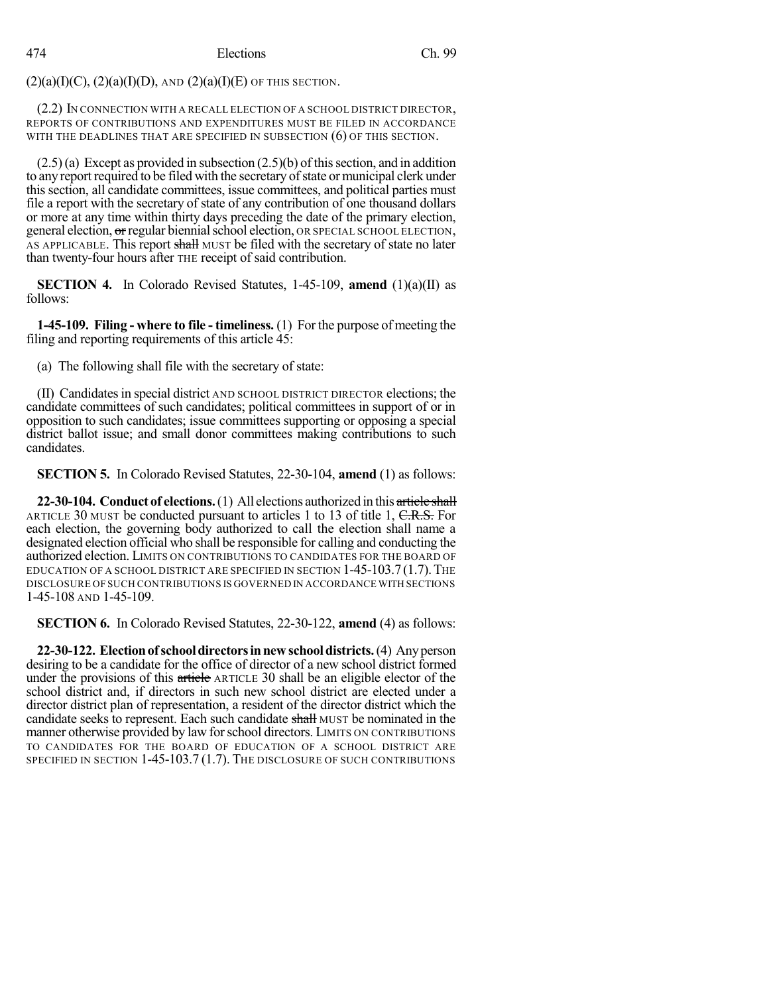$(2)(a)(I)(C), (2)(a)(I)(D),$  AND  $(2)(a)(I)(E)$  OF THIS SECTION.

(2.2) IN CONNECTION WITH A RECALL ELECTION OF A SCHOOL DISTRICT DIRECTOR, REPORTS OF CONTRIBUTIONS AND EXPENDITURES MUST BE FILED IN ACCORDANCE WITH THE DEADLINES THAT ARE SPECIFIED IN SUBSECTION (6) OF THIS SECTION.

 $(2.5)(a)$  Except as provided in subsection  $(2.5)(b)$  of this section, and in addition to any report required to be filed with the secretary of state or municipal clerk under this section, all candidate committees, issue committees, and political parties must file a report with the secretary of state of any contribution of one thousand dollars or more at any time within thirty days preceding the date of the primary election, general election, or regular biennial school election, OR SPECIAL SCHOOL ELECTION, AS APPLICABLE. This report shall MUST be filed with the secretary of state no later than twenty-four hours after THE receipt of said contribution.

**SECTION 4.** In Colorado Revised Statutes, 1-45-109, **amend** (1)(a)(II) as follows:

**1-45-109. Filing - where to file - timeliness.** (1) For the purpose of meeting the filing and reporting requirements of this article 45:

(a) The following shall file with the secretary of state:

(II) Candidatesin special district AND SCHOOL DISTRICT DIRECTOR elections; the candidate committees of such candidates; political committees in support of or in opposition to such candidates; issue committees supporting or opposing a special district ballot issue; and small donor committees making contributions to such candidates.

**SECTION 5.** In Colorado Revised Statutes, 22-30-104, **amend** (1) as follows:

**22-30-104. Conduct of elections.**(1) All elections authorized in this article shall ARTICLE 30 MUST be conducted pursuant to articles 1 to 13 of title 1, C.R.S. For each election, the governing body authorized to call the election shall name a designated election official who shall be responsible for calling and conducting the authorized election. LIMITS ON CONTRIBUTIONS TO CANDIDATES FOR THE BOARD OF EDUCATION OF A SCHOOL DISTRICT ARE SPECIFIED IN SECTION 1-45-103.7(1.7).THE DISCLOSURE OF SUCH CONTRIBUTIONS IS GOVERNED IN ACCORDANCE WITH SECTIONS 1-45-108 AND 1-45-109.

**SECTION 6.** In Colorado Revised Statutes, 22-30-122, **amend** (4) as follows:

**22-30-122. Electionofschooldirectorsinnewschooldistricts.**(4) Anyperson desiring to be a candidate for the office of director of a new school district formed under the provisions of this article ARTICLE 30 shall be an eligible elector of the school district and, if directors in such new school district are elected under a director district plan of representation, a resident of the director district which the candidate seeks to represent. Each such candidate shall MUST be nominated in the manner otherwise provided by law forschool directors. LIMITS ON CONTRIBUTIONS TO CANDIDATES FOR THE BOARD OF EDUCATION OF A SCHOOL DISTRICT ARE SPECIFIED IN SECTION 1-45-103.7 (1.7). THE DISCLOSURE OF SUCH CONTRIBUTIONS